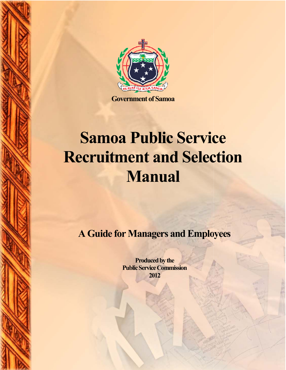

**Government of Samoa** 

# **Samoa Public Service Recruitment and Selection Manual**

**A Guide for Managers and Employees Employees**

**Produced by the Public Service Commission 2012**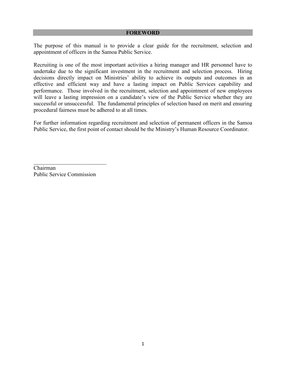The purpose of this manual is to provide a clear guide for the recruitment, selection and appointment of officers in the Samoa Public Service.

Recruiting is one of the most important activities a hiring manager and HR personnel have to undertake due to the significant investment in the recruitment and selection process. Hiring decisions directly impact on Ministries' ability to achieve its outputs and outcomes in an effective and efficient way and have a lasting impact on Public Services capability and performance. Those involved in the recruitment, selection and appointment of new employees will leave a lasting impression on a candidate's view of the Public Service whether they are successful or unsuccessful. The fundamental principles of selection based on merit and ensuring procedural fairness must be adhered to at all times.

For further information regarding recruitment and selection of permanent officers in the Samoa Public Service, the first point of contact should be the Ministry's Human Resource Coordinator.

Chairman Public Service Commission

\_\_\_\_\_\_\_\_\_\_\_\_\_\_\_\_\_\_\_\_\_\_\_\_\_\_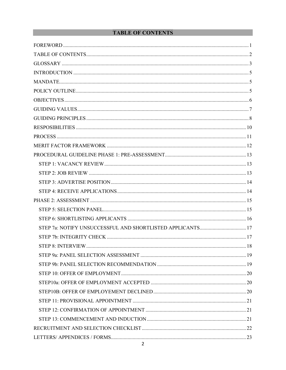# **TABLE OF CONTENTS**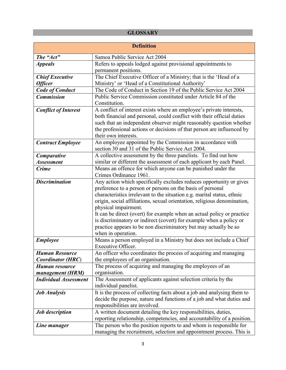# **GLOSSARY**

|                              | <b>Definition</b>                                                                               |
|------------------------------|-------------------------------------------------------------------------------------------------|
| The "Act"                    | Samoa Public Service Act 2004                                                                   |
| <b>Appeals</b>               | Refers to appeals lodged against provisional appointments to                                    |
|                              | permanent positions.                                                                            |
| <b>Chief Executive</b>       | The Chief Executive Officer of a Ministry; that is the 'Head of a                               |
| <b>Officer</b>               | Ministry' or 'Head of a Constitutional Authority'                                               |
| <b>Code of Conduct</b>       | The Code of Conduct in Section 19 of the Public Service Act 2004                                |
| <b>Commission</b>            | Public Service Commission constituted under Article 84 of the                                   |
|                              | Constitution.                                                                                   |
| <b>Conflict of Interest</b>  | A conflict of interest exists where an employee's private interests,                            |
|                              | both financial and personal, could conflict with their official duties                          |
|                              | such that an independent observer might reasonably question whether                             |
|                              | the professional actions or decisions of that person are influenced by                          |
|                              | their own interests.                                                                            |
| <b>Contract Employee</b>     | An employee appointed by the Commission in accordance with                                      |
|                              | section 30 and 31 of the Public Service Act 2004.                                               |
| Comparative                  | A collective assessment by the three panelists. To find out how                                 |
| <b>Assessment</b>            | similar or different the assessment of each applicant by each Panel.                            |
| <b>Crime</b>                 | Means an offence for which anyone can be punished under the                                     |
|                              | Crimes Ordinance 1961.                                                                          |
| <b>Discrimination</b>        | Any action which specifically excludes reduces opportunity or gives                             |
|                              | preference to a person or persons on the basis of personal                                      |
|                              | characteristics irrelevant to the situation e.g. marital status, ethnic                         |
|                              | origin, social affiliations, sexual orientation, religious denomination,                        |
|                              | physical impairment.                                                                            |
|                              | It can be direct (overt) for example when an actual policy or practice                          |
|                              | is discriminatory or indirect (covert) for example when a policy or                             |
|                              | practice appears to be non discriminatory but may actually be so                                |
|                              | when in operation.                                                                              |
| <b>Employee</b>              | Means a person employed in a Ministry but does not include a Chief<br><b>Executive Officer.</b> |
| <b>Human Resource</b>        | An officer who coordinates the process of acquiring and managing                                |
| <b>Coordinator (HRC)</b>     | the employees of an organisation.                                                               |
| Human resource               | The process of acquiring and managing the employees of an                                       |
| management (HRM)             | organisation.                                                                                   |
| <b>Individual Assessment</b> | The Assessment of applicants against selection criteria by the                                  |
|                              | individual panelist.                                                                            |
| <b>Job Analysis</b>          | It is the process of collecting facts about a job and analysing them to                         |
|                              | decide the purpose, nature and functions of a job and what duties and                           |
|                              | responsibilities are involved.                                                                  |
| <b>Job</b> description       | A written document detailing the key responsibilities, duties,                                  |
|                              | reporting relationship, competencies, and accountability of a position.                         |
| Line manager                 | The person who the position reports to and whom is responsible for                              |
|                              | managing the recruitment, selection and appointment process. This is                            |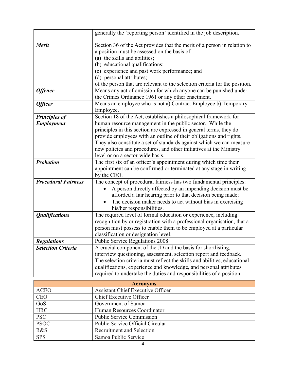|                                           | generally the 'reporting person' identified in the job description.                                                                                                                                                                                                                                                                                                                                                                                         |
|-------------------------------------------|-------------------------------------------------------------------------------------------------------------------------------------------------------------------------------------------------------------------------------------------------------------------------------------------------------------------------------------------------------------------------------------------------------------------------------------------------------------|
| <b>Merit</b>                              | Section 36 of the Act provides that the merit of a person in relation to<br>a position must be assessed on the basis of:<br>(a) the skills and abilities;<br>(b) educational qualifications;<br>(c) experience and past work performance; and<br>(d) personal attributes;<br>of the person that are relevant to the selection criteria for the position.                                                                                                    |
| <b>Offence</b>                            | Means any act of omission for which anyone can be punished under<br>the Crimes Ordinance 1961 or any other enactment.                                                                                                                                                                                                                                                                                                                                       |
| <b>Officer</b>                            | Means an employee who is not a) Contract Employee b) Temporary<br>Employee.                                                                                                                                                                                                                                                                                                                                                                                 |
| <b>Principles of</b><br><b>Employment</b> | Section 18 of the Act, establishes a philosophical framework for<br>human resource management in the public sector. While the<br>principles in this section are expressed in general terms, they do<br>provide employees with an outline of their obligations and rights.<br>They also constitute a set of standards against which we can measure<br>new policies and procedures, and other initiatives at the Ministry<br>level or on a sector-wide basis. |
| <b>Probation</b>                          | The first six of an officer's appointment during which time their<br>appointment can be confirmed or terminated at any stage in writing<br>by the CEO.                                                                                                                                                                                                                                                                                                      |
| <b>Procedural Fairness</b>                | The concept of procedural fairness has two fundamental principles:<br>A person directly affected by an impending decision must be<br>afforded a fair hearing prior to that decision being made;<br>The decision maker needs to act without bias in exercising<br>his/her responsibilities.                                                                                                                                                                  |
| <b>Qualifications</b>                     | The required level of formal education or experience, including<br>recognition by or registration with a professional organisation, that a<br>person must possess to enable them to be employed at a particular<br>classification or designation level.                                                                                                                                                                                                     |
| <b>Regulations</b>                        | <b>Public Service Regulations 2008</b>                                                                                                                                                                                                                                                                                                                                                                                                                      |
| <b>Selection Criteria</b>                 | A crucial component of the JD and the basis for shortlisting,<br>interview questioning, assessment, selection report and feedback.<br>The selection criteria must reflect the skills and abilities, educational<br>qualifications, experience and knowledge, and personal attributes<br>required to undertake the duties and responsibilities of a position.                                                                                                |
|                                           | <b>Acronyms</b>                                                                                                                                                                                                                                                                                                                                                                                                                                             |
| <b>ACEO</b>                               | <b>Assistant Chief Executive Officer</b>                                                                                                                                                                                                                                                                                                                                                                                                                    |
| <b>CEO</b>                                | <b>Chief Executive Officer</b>                                                                                                                                                                                                                                                                                                                                                                                                                              |
| GoS                                       | Government of Samoa                                                                                                                                                                                                                                                                                                                                                                                                                                         |
| <b>HRC</b>                                | Human Resources Coordinator                                                                                                                                                                                                                                                                                                                                                                                                                                 |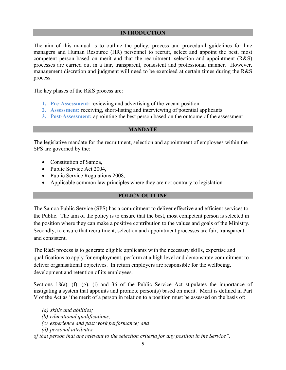#### **INTRODUCTION**

The aim of this manual is to outline the policy, process and procedural guidelines for line managers and Human Resource (HR) personnel to recruit, select and appoint the best, most competent person based on merit and that the recruitment, selection and appointment (R&S) processes are carried out in a fair, transparent, consistent and professional manner. However, management discretion and judgment will need to be exercised at certain times during the R&S process.

The key phases of the R&S process are:

- **1. Pre-Assessment:** reviewing and advertising of the vacant position
- **2. Assessment:** receiving, short-listing and interviewing of potential applicants
- **3. Post-Assessment:** appointing the best person based on the outcome of the assessment

#### **MANDATE**

The legislative mandate for the recruitment, selection and appointment of employees within the SPS are governed by the:

- Constitution of Samoa,
- Public Service Act 2004,
- Public Service Regulations 2008,
- Applicable common law principles where they are not contrary to legislation.

#### **POLICY OUTLINE**

The Samoa Public Service (SPS) has a commitment to deliver effective and efficient services to the Public. The aim of the policy is to ensure that the best, most competent person is selected in the position where they can make a positive contribution to the values and goals of the Ministry. Secondly, to ensure that recruitment, selection and appointment processes are fair, transparent and consistent.

The R&S process is to generate eligible applicants with the necessary skills, expertise and qualifications to apply for employment, perform at a high level and demonstrate commitment to deliver organisational objectives. In return employers are responsible for the wellbeing, development and retention of its employees.

Sections 18(a), (f), (g), (i) and 36 of the Public Service Act stipulates the importance of instigating a system that appoints and promote person(s) based on merit. Merit is defined in Part V of the Act as 'the merit of a person in relation to a position must be assessed on the basis of:

- *(a) skills and abilities;*
- *(b) educational qualifications;*
- *(c) experience and past work performance; and*
- *(d) personal attributes*

*of that person that are relevant to the selection criteria for any position in the Service".*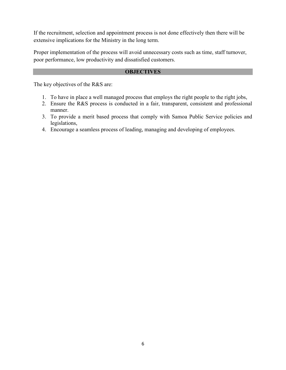If the recruitment, selection and appointment process is not done effectively then there will be extensive implications for the Ministry in the long term.

Proper implementation of the process will avoid unnecessary costs such as time, staff turnover, poor performance, low productivity and dissatisfied customers.

#### **OBJECTIVES**

The key objectives of the R&S are:

- 1. To have in place a well managed process that employs the right people to the right jobs,
- 2. Ensure the R&S process is conducted in a fair, transparent, consistent and professional manner.
- 3. To provide a merit based process that comply with Samoa Public Service policies and legislations,
- 4. Encourage a seamless process of leading, managing and developing of employees.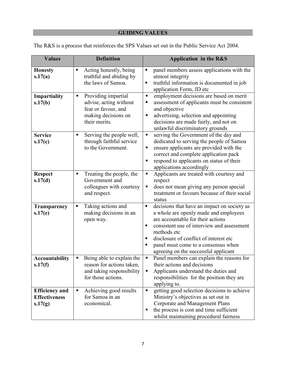# **GUIDING VALUES**

| <b>Values</b>                                            | <b>Definition</b>                                                                                                 | Application in the R&S                                                                                                                                                                                                                                                                                                                           |
|----------------------------------------------------------|-------------------------------------------------------------------------------------------------------------------|--------------------------------------------------------------------------------------------------------------------------------------------------------------------------------------------------------------------------------------------------------------------------------------------------------------------------------------------------|
| <b>Honesty</b><br>s.17(a)                                | Acting honestly, being<br>п<br>truthful and abiding by<br>the laws of Samoa.                                      | panel members assess applications with the<br>$\blacksquare$<br>utmost integrity<br>truthful information is documented in job<br>п<br>application Form, JD etc                                                                                                                                                                                   |
| Impartiality<br>s.17(b)                                  | Providing impartial<br>п<br>advise, acting without<br>fear or favour, and<br>making decisions on<br>their merits. | employment decisions are based on merit<br>п<br>assessment of applicants must be consistent<br>Е<br>and objective<br>advertising, selection and appointing<br>Е<br>decisions are made fairly, and not on<br>unlawful discriminatory grounds                                                                                                      |
| <b>Service</b><br>s.17(c)                                | Serving the people well,<br>п<br>through faithful service<br>to the Government.                                   | serving the Government of the day and<br>Ξ<br>dedicated to serving the people of Samoa<br>ensure applicants are provided with the<br>Е<br>correct and complete application pack<br>respond to applicants on status of their<br>Е<br>applications accordingly                                                                                     |
| <b>Respect</b><br>s.17(d)                                | Treating the people, the<br>п<br>Government and<br>colleagues with courtesy<br>and respect.                       | Applicants are treated with courtesy and<br>$\blacksquare$<br>respect<br>does not mean giving any person special<br>Е<br>treatment or favours because of their social<br>status                                                                                                                                                                  |
| Transparency<br>s.17(e)                                  | Taking actions and<br>Ξ<br>making decisions in an<br>open way.                                                    | decisions that have an impact on society as<br>$\blacksquare$<br>a whole are openly made and employees<br>are accountable for their actions<br>consistent use of interview and assessment<br>п<br>methods etc<br>disclosure of conflict of interest etc<br>п<br>panel must come to a consensus when<br>п<br>agreeing on the successful applicant |
| <b>Accountability</b><br>s.17(f)                         | Being able to explain the<br>Е<br>reason for actions taken,<br>and taking responsibility<br>for those actions.    | Panel members can explain the reasons for<br>$\blacksquare$<br>their actions and decisions<br>Applicants understand the duties and<br>responsibilities for the position they are<br>applying to.                                                                                                                                                 |
| <b>Efficiency and</b><br><b>Effectiveness</b><br>s.17(g) | Achieving good results<br>п<br>for Samoa in an<br>economical.                                                     | getting good selection decisions to achieve<br>Π<br>Ministry's objectives as set out in<br>Corporate and Management Plans<br>the process is cost and time sufficient<br>п<br>whilst maintaining procedural fairness                                                                                                                              |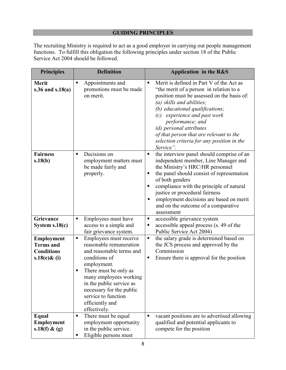## **GUIDING PRINCIPLES**

The recruiting Ministry is required to act as a good employer in carrying out people management functions. To fulfill this obligation the following principles under section 18 of the Public Service Act 2004 should be followed.

| <b>Principles</b>                                                             | <b>Definition</b>                                                                                                                                                                                                                                                                            | Application in the R&S                                                                                                                                                                                                                                                                                                                                                                         |
|-------------------------------------------------------------------------------|----------------------------------------------------------------------------------------------------------------------------------------------------------------------------------------------------------------------------------------------------------------------------------------------|------------------------------------------------------------------------------------------------------------------------------------------------------------------------------------------------------------------------------------------------------------------------------------------------------------------------------------------------------------------------------------------------|
| <b>Merit</b><br>s.36 and $s.18(a)$                                            | Appointments and<br>٠<br>promotions must be made<br>on merit.                                                                                                                                                                                                                                | Merit is defined in Part V of the Act as<br>٠<br>"the merit of a person in relation to a<br>position must be assessed on the basis of:<br>(a) skills and abilities;<br>(b) educational qualifications;<br>experience and past work<br>(c)<br>performance; and<br>(d) personal attributes<br>of that person that are relevant to the<br>selection criteria for any position in the<br>Service". |
| <b>Fairness</b><br>s.18(b)                                                    | Decisions on<br>$\blacksquare$<br>employment matters must<br>be made fairly and<br>properly.                                                                                                                                                                                                 | the interview panel should comprise of an<br>٠<br>independent member, Line Manager and<br>the Ministry's HRC/HR personnel<br>the panel should consist of representation<br>п<br>of both genders<br>compliance with the principle of natural<br>п<br>justice or procedural fairness<br>employment decisions are based on merit<br>п<br>and on the outcome of a comparative<br>assessment        |
| Grievance<br>System $s.18(c)$                                                 | Employees must have<br>П<br>access to a simple and<br>fair grievance system.                                                                                                                                                                                                                 | accessible grievance system<br>Ξ<br>accessible appeal process (s. 49 of the<br>п<br>Public Service Act 2004)                                                                                                                                                                                                                                                                                   |
| <b>Employment</b><br><b>Terms</b> and<br><b>Conditions</b><br>$s.18(e)$ & (i) | Employees must receive<br>п<br>reasonable remuneration<br>and reasonable terms and<br>conditions of<br>employment.<br>There must be only as<br>п<br>many employees working<br>in the public service as<br>necessary for the public<br>service to function<br>efficiently and<br>effectively. | the salary grade is determined based on<br>Ξ<br>the JCS process and approved by the<br>Commission<br>Ensure there is approval for the position<br>п                                                                                                                                                                                                                                            |
| Equal<br><b>Employment</b><br>s.18(f) $\&$ (g)                                | There must be equal<br>$\blacksquare$<br>employment opportunity<br>in the public service.<br>Eligible persons must                                                                                                                                                                           | vacant positions are to advertised allowing<br>٠<br>qualified and potential applicants to<br>compete for the position                                                                                                                                                                                                                                                                          |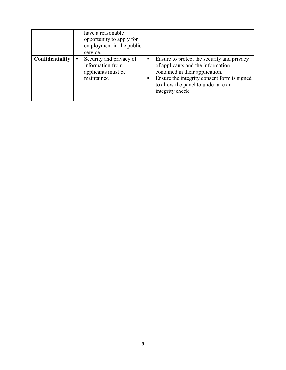|                 | have a reasonable<br>opportunity to apply for<br>employment in the public<br>service. |                                                                                                                                                                                                                                 |
|-----------------|---------------------------------------------------------------------------------------|---------------------------------------------------------------------------------------------------------------------------------------------------------------------------------------------------------------------------------|
| Confidentiality | Security and privacy of<br>٠<br>information from<br>applicants must be<br>maintained  | Ensure to protect the security and privacy<br>п<br>of applicants and the information<br>contained in their application.<br>Ensure the integrity consent form is signed<br>to allow the panel to undertake an<br>integrity check |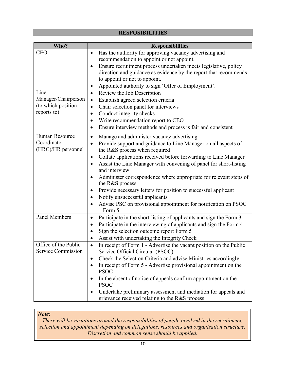## **RESPOSIBILITIES**

| Who?                                       | <b>Responsibilities</b>                                                                                             |
|--------------------------------------------|---------------------------------------------------------------------------------------------------------------------|
| <b>CEO</b>                                 | Has the authority for approving vacancy advertising and                                                             |
|                                            | recommendation to appoint or not appoint.                                                                           |
|                                            | Ensure recruitment process undertaken meets legislative, policy<br>٠                                                |
|                                            | direction and guidance as evidence by the report that recommends                                                    |
|                                            | to appoint or not to appoint.                                                                                       |
|                                            | Appointed authority to sign 'Offer of Employment'.                                                                  |
| Line                                       | Review the Job Description<br>$\bullet$                                                                             |
| Manager/Chairperson                        | Establish agreed selection criteria<br>$\bullet$                                                                    |
| (to which position<br>reports to)          | Chair selection panel for interviews<br>$\bullet$                                                                   |
|                                            | Conduct integrity checks<br>$\bullet$                                                                               |
|                                            | Write recommendation report to CEO<br>$\bullet$                                                                     |
|                                            | Ensure interview methods and process is fair and consistent<br>$\bullet$                                            |
| Human Resource                             | Manage and administer vacancy advertising<br>$\bullet$                                                              |
| Coordinator                                | Provide support and guidance to Line Manager on all aspects of<br>$\bullet$                                         |
| (HRC)/HR personnel                         | the R&S process when required                                                                                       |
|                                            | Collate applications received before forwarding to Line Manager<br>٠                                                |
|                                            | Assist the Line Manager with convening of panel for short-listing<br>and interview                                  |
|                                            | Administer correspondence where appropriate for relevant steps of<br>٠<br>the R&S process                           |
|                                            | Provide necessary letters for position to successful applicant<br>٠                                                 |
|                                            | Notify unsuccessful applicants<br>$\bullet$                                                                         |
|                                            | Advise PSC on provisional appointment for notification on PSOC<br>$-$ Form 5                                        |
| <b>Panel Members</b>                       | Participate in the short-listing of applicants and sign the Form 3<br>$\bullet$                                     |
|                                            | Participate in the interviewing of applicants and sign the Form 4<br>$\bullet$                                      |
|                                            | Sign the selection outcome report Form 5<br>$\bullet$                                                               |
|                                            | Assist with undertaking the Integrity Check                                                                         |
| Office of the Public<br>Service Commission | In receipt of Form 1 - Advertise the vacant position on the Public<br>$\bullet$<br>Service Official Circular (PSOC) |
|                                            | Check the Selection Criteria and advise Ministries accordingly                                                      |
|                                            | In receipt of Form 5 - Advertise provisional appointment on the                                                     |
|                                            | <b>PSOC</b>                                                                                                         |
|                                            | In the absent of notice of appeals confirm appointment on the<br><b>PSOC</b>                                        |
|                                            | Undertake preliminary assessment and mediation for appeals and                                                      |
|                                            | grievance received relating to the R&S process                                                                      |

#### *Note:*

*There will be variations around the responsibilities of people involved in the recruitment, selection and appointment depending on delegations, resources and organisation structure. Discretion and common sense should be applied.*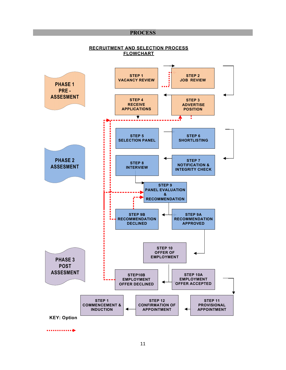#### **PROCESS**

#### **RECRUITMENT AND SELECTION PROCESS FLOWCHART**

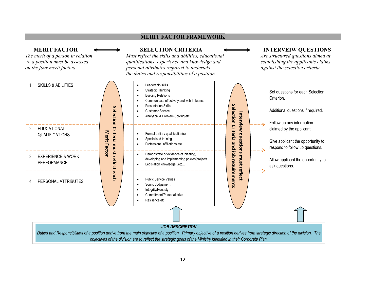#### **MERIT FACTOR FRAMEWORK**

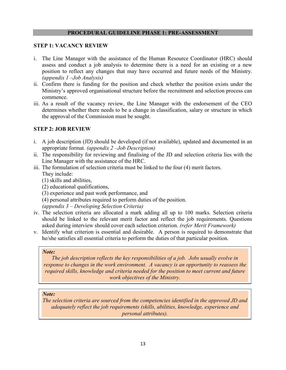#### **PROCEDURAL GUIDELINE PHASE 1: PRE-ASSESSMENT**

#### **STEP 1: VACANCY REVIEW**

- i. The Line Manager with the assistance of the Human Resource Coordinator (HRC) should assess and conduct a job analysis to determine there is a need for an existing or a new position to reflect any changes that may have occurred and future needs of the Ministry. *(appendix 1 –Job Analysis)*
- ii. Confirm there is funding for the position and check whether the position exists under the Ministry's approved organisational structure before the recruitment and selection process can commence.
- iii. As a result of the vacancy review, the Line Manager with the endorsement of the CEO determines whether there needs to be a change in classification, salary or structure in which the approval of the Commission must be sought.

#### **STEP 2: JOB REVIEW**

- i. A job description (JD) should be developed (if not available), updated and documented in an appropriate format. *(appendix 2 –Job Description)*
- ii. The responsibility for reviewing and finalising of the JD and selection criteria lies with the Line Manager with the assistance of the HRC.
- iii. The formulation of selection criteria must be linked to the four (4) merit factors.
	- They include:
	- (1) skills and abilities,
	- (2) educational qualifications,
	- (3) experience and past work performance, and
	- (4) personal attributes required to perform duties of the position.
	- *(appendix 3 Developing Selection Criteria)*
- iv. The selection criteria are allocated a mark adding all up to 100 marks. Selection criteria should be linked to the relevant merit factor and reflect the job requirements. Questions asked during interview should cover each selection criterion. *(refer Merit Framework)*
- v. Identify what criterion is essential and desirable. A person is required to demonstrate that he/she satisfies all essential criteria to perform the duties of that particular position.

#### *Note:*

*The job description reflects the key responsibilities of a job. Jobs usually evolve in response to changes in the work environment. A vacancy is an opportunity to reassess the required skills, knowledge and criteria needed for the position to meet current and future work objectives of the Ministry.* 

#### *Note:*

*The selection criteria are sourced from the competencies identified in the approved JD and adequately reflect the job requirements (skills, abilities, knowledge, experience and personal attributes).*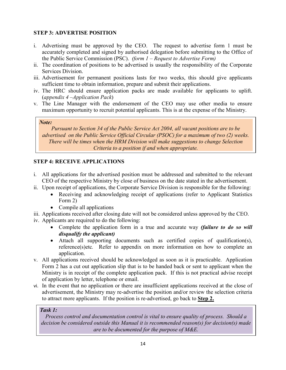## **STEP 3: ADVERTISE POSITION**

- i. Advertising must be approved by the CEO. The request to advertise form 1 must be accurately completed and signed by authorised delegation before submitting to the Office of the Public Service Commission (PSC). *(form 1 – Request to Advertise Form)*
- ii. The coordination of positions to be advertised is usually the responsibility of the Corporate Services Division.
- iii. Advertisement for permanent positions lasts for two weeks, this should give applicants sufficient time to obtain information, prepare and submit their applications.
- iv. The HRC should ensure application packs are made available for applicants to uplift. (*appendix 4 –Application Pack*)
- v. The Line Manager with the endorsement of the CEO may use other media to ensure maximum opportunity to recruit potential applicants. This is at the expense of the Ministry.

#### *Note:*

*Pursuant to Section 34 of the Public Service Act 2004, all vacant positions are to be advertised on the Public Service Official Circular (PSOC) for a maximum of two (2) weeks. There will be times when the HRM Division will make suggestions to change Selection Criteria to a position if and when appropriate.*

## **STEP 4: RECEIVE APPLICATIONS**

- i. All applications for the advertised position must be addressed and submitted to the relevant CEO of the respective Ministry by close of business on the date stated in the advertisement.
- ii. Upon receipt of applications, the Corporate Service Division is responsible for the following:
	- Receiving and acknowledging receipt of applications (refer to Applicant Statistics Form 2)
	- Compile all applications
- iii. Applications received after closing date will not be considered unless approved by the CEO.
- iv. Applicants are required to do the following:
	- Complete the application form in a true and accurate way *(failure to do so will disqualify the applicant)*
	- Attach all supporting documents such as certified copies of qualification(s), reference(s)etc*.* Refer to appendix on more information on how to complete an application.
- v. All applications received should be acknowledged as soon as it is practicable. Application Form 2 has a cut out application slip that is to be handed back or sent to applicant when the Ministry is in receipt of the complete application pack. If this is not practical advise receipt of application by letter, telephone or email.
- vi. In the event that no application or there are insufficient applications received at the close of advertisement, the Ministry may re-advertise the position and/or review the selection criteria to attract more applicants. If the position is re-advertised, go back to **Step 2.**

#### *Task 1:*

*Process control and documentation control is vital to ensure quality of process. Should a decision be considered outside this Manual it is recommended reason(s) for decision(s) made are to be documented for the purpose of M&E.*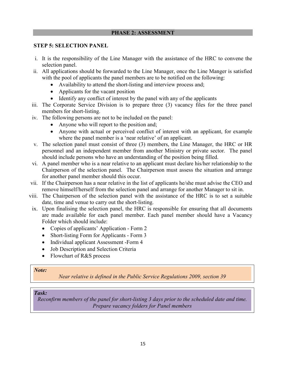#### **PHASE 2: ASSESSMENT**

#### **STEP 5: SELECTION PANEL**

- i. It is the responsibility of the Line Manager with the assistance of the HRC to convene the selection panel.
- ii. All applications should be forwarded to the Line Manager, once the Line Manger is satisfied with the pool of applicants the panel members are to be notified on the following:
	- Availability to attend the short-listing and interview process and;
	- Applicants for the vacant position
	- Identify any conflict of interest by the panel with any of the applicants
- iii. The Corporate Service Division is to prepare three (3) vacancy files for the three panel members for short-listing.
- iv. The following persons are not to be included on the panel:
	- Anyone who will report to the position and;
	- Anyone with actual or perceived conflict of interest with an applicant, for example where the panel member is a 'near relative' of an applicant.
- v. The selection panel must consist of three (3) members, the Line Manager, the HRC or HR personnel and an independent member from another Ministry or private sector. The panel should include persons who have an understanding of the position being filled.
- vi. A panel member who is a near relative to an applicant must declare his/her relationship to the Chairperson of the selection panel. The Chairperson must assess the situation and arrange for another panel member should this occur.
- vii. If the Chairperson has a near relative in the list of applicants he/she must advise the CEO and remove himself/herself from the selection panel and arrange for another Manager to sit in.
- viii. The Chairperson of the selection panel with the assistance of the HRC is to set a suitable date, time and venue to carry out the short-listing.
- ix. Upon finalising the selection panel, the HRC is responsible for ensuring that all documents are made available for each panel member. Each panel member should have a Vacancy Folder which should include:
	- Copies of applicants' Application Form 2
	- Short-listing Form for Applicants Form 3
	- Individual applicant Assessment -Form 4
	- Job Description and Selection Criteria
	- Flowchart of R&S process

#### *Note:*

*Near relative is defined in the Public Service Regulations 2009, section 39*

## *Task:*

*Reconfirm members of the panel for short-listing 3 days prior to the scheduled date and time. Prepare vacancy folders for Panel members*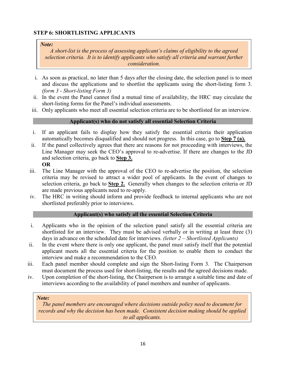## **STEP 6: SHORTLISTING APPLICANTS**

#### *Note:*

*A short-list is the process of assessing applicant's claims of eligibility to the agreed selection criteria. It is to identify applicants who satisfy all criteria and warrant further consideration.*

- i. As soon as practical, no later than 5 days after the closing date, the selection panel is to meet and discuss the applications and to shortlist the applicants using the short-listing form 3. *(form 3 - Short-listing Form 3)*
- ii. In the event the Panel cannot find a mutual time of availability, the HRC may circulate the short-listing forms for the Panel's individual assessments.
- iii. Only applicants who meet all essential selection criteria are to be shortlisted for an interview.

## **Applicant(s) who do not satisfy all essential Selection Criteria**

- i. If an applicant fails to display how they satisfy the essential criteria their application automatically becomes disqualified and should not progress. In this case, go to **Step 7 (a).**
- ii. If the panel collectively agrees that there are reasons for not proceeding with interviews, the Line Manager may seek the CEO's approval to re-advertise. If there are changes to the JD and selection criteria, go back to **Step 3. OR**
- iii. The Line Manager with the approval of the CEO to re-advertise the position, the selection criteria may be revised to attract a wider pool of applicants. In the event of changes to selection criteria, go back to **Step 2.** Generally when changes to the selection criteria or JD are made previous applicants need to re-apply.
- iv. The HRC in writing should inform and provide feedback to internal applicants who are not shortlisted preferably prior to interviews.

## **Applicant(s) who satisfy all the essential Selection Criteria**

- i. Applicants who in the opinion of the selection panel satisfy all the essential criteria are shortlisted for an interview. They must be advised verbally or in writing at least three (3) days in advance on the scheduled date for interviews. *(letter 2 – Shortlisted Applicants)*
- ii. In the event where there is only one applicant, the panel must satisfy itself that the potential applicant meets all the essential criteria for the position to enable them to conduct the interview and make a recommendation to the CEO.
- iii. Each panel member should complete and sign the Short-listing Form 3. The Chairperson must document the process used for short-listing, the results and the agreed decisions made.
- iv. Upon completion of the short-listing, the Chairperson is to arrange a suitable time and date of interviews according to the availability of panel members and number of applicants.

## *Note:*

*The panel members are encouraged where decisions outside policy need to document for records and why the decision has been made. Consistent decision making should be applied to all applicants.*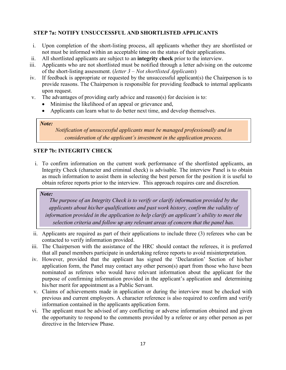## **STEP 7a: NOTIFY UNSUCCESSFUL AND SHORTLISTED APPLICANTS**

- i. Upon completion of the short-listing process, all applicants whether they are shortlisted or not must be informed within an acceptable time on the status of their applications.
- ii. All shortlisted applicants are subject to an **integrity check** prior to the interview.
- iii. Applicants who are not shortlisted must be notified through a letter advising on the outcome of the short-listing assessment. (*letter 3 – Not shortlisted Applicants*)
- iv. If feedback is appropriate or requested by the unsuccessful applicant(s) the Chairperson is to provide reasons. The Chairperson is responsible for providing feedback to internal applicants upon request.
- v. The advantages of providing early advice and reason(s) for decision is to:
	- Minimise the likelihood of an appeal or grievance and,
	- Applicants can learn what to do better next time, and develop themselves.

#### *Note:*

*Notification of unsuccessful applicants must be managed professionally and in consideration of the applicant's investment in the application process.*

## **STEP 7b: INTEGRITY CHECK**

i. To confirm information on the current work performance of the shortlisted applicants, an Integrity Check (character and criminal check) is advisable. The interview Panel is to obtain as much information to assist them in selecting the best person for the position it is useful to obtain referee reports prior to the interview. This approach requires care and discretion.

## *Note:*

*The purpose of an Integrity Check is to verify or clarify information provided by the applicants about his/her qualifications and past work history, confirm the validity of information provided in the application to help clarify an applicant's ability to meet the selection criteria and follow up any relevant areas of concern that the panel has.* 

- ii. Applicants are required as part of their applications to include three (3) referees who can be contacted to verify information provided.
- iii. The Chairperson with the assistance of the HRC should contact the referees, it is preferred that all panel members participate in undertaking referee reports to avoid misinterpretation.
- iv. However, provided that the applicant has signed the 'Declaration' Section of his/her application form, the Panel may contact any other person(s) apart from those who have been nominated as referees who would have relevant information about the applicant for the purpose of confirming information provided in the applicant's application and determining his/her merit for appointment as a Public Servant.
- v. Claims of achievements made in application or during the interview must be checked with previous and current employers. A character reference is also required to confirm and verify information contained in the applicants application form.
- vi. The applicant must be advised of any conflicting or adverse information obtained and given the opportunity to respond to the comments provided by a referee or any other person as per directive in the Interview Phase.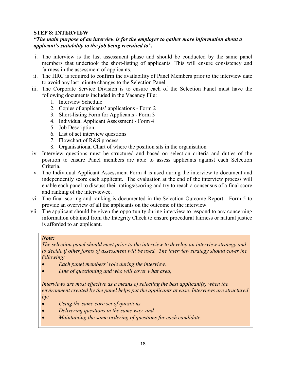## **STEP 8: INTERVIEW**

#### *"The main purpose of an interview is for the employer to gather more information about a applicant's suitability to the job being recruited to".*

- i. The interview is the last assessment phase and should be conducted by the same panel members that undertook the short-listing of applicants. This will ensure consistency and fairness in the assessment of applicants.
- ii. The HRC is required to confirm the availability of Panel Members prior to the interview date to avoid any last minute changes to the Selection Panel.
- iii. The Corporate Service Division is to ensure each of the Selection Panel must have the following documents included in the Vacancy File:
	- 1. Interview Schedule
	- 2. Copies of applicants' applications Form 2
	- 3. Short-listing Form for Applicants Form 3
	- 4. Individual Applicant Assessment Form 4
	- 5. Job Description
	- 6. List of set interview questions
	- 7. Flowchart of R&S process
	- 8. Organisational Chart of where the position sits in the organisation
- iv. Interview questions must be structured and based on selection criteria and duties of the position to ensure Panel members are able to assess applicants against each Selection Criteria.
- v. The Individual Applicant Assessment Form 4 is used during the interview to document and independently score each applicant. The evaluation at the end of the interview process will enable each panel to discuss their ratings/scoring and try to reach a consensus of a final score and ranking of the interviewee.
- vi. The final scoring and ranking is documented in the Selection Outcome Report Form 5 to provide an overview of all the applicants on the outcome of the interview.
- vii. The applicant should be given the opportunity during interview to respond to any concerning information obtained from the Integrity Check to ensure procedural fairness or natural justice is afforded to an applicant.

#### *Note:*

*The selection panel should meet prior to the interview to develop an interview strategy and to decide if other forms of assessment will be used. The interview strategy should cover the following:* 

- *Each panel members' role during the interview,*
- *Line of questioning and who will cover what area,*

*Interviews are most effective as a means of selecting the best applicant(s) when the environment created by the panel helps put the applicants at ease. Interviews are structured by:* 

- *Using the same core set of questions,*
- *Delivering questions in the same way, and*
- *Maintaining the same ordering of questions for each candidate.*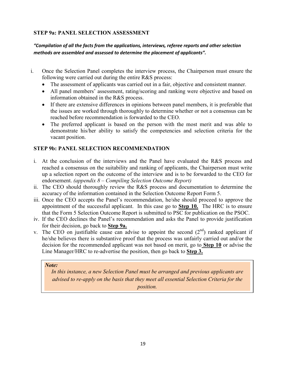## **STEP 9a: PANEL SELECTION ASSESSMENT**

## *"Compilation of all the facts from the applications, interviews, referee reports and other selection methods are assembled and assessed to determine the placement of applicants".*

- i. Once the Selection Panel completes the interview process, the Chairperson must ensure the following were carried out during the entire R&S process:
	- The assessment of applicants was carried out in a fair, objective and consistent manner.
	- All panel members' assessment, rating/scoring and ranking were objective and based on information obtained in the R&S process.
	- If there are extensive differences in opinions between panel members, it is preferable that the issues are worked through thoroughly to determine whether or not a consensus can be reached before recommendation is forwarded to the CEO.
	- The preferred applicant is based on the person with the most merit and was able to demonstrate his/her ability to satisfy the competencies and selection criteria for the vacant position.

## **STEP 9b: PANEL SELECTION RECOMMENDATION**

- i. At the conclusion of the interviews and the Panel have evaluated the R&S process and reached a consensus on the suitability and ranking of applicants, the Chairperson must write up a selection report on the outcome of the interview and is to be forwarded to the CEO for endorsement. *(appendix 8 – Compiling Selection Outcome Report)*
- ii. The CEO should thoroughly review the R&S process and documentation to determine the accuracy of the information contained in the Selection Outcome Report Form 5.
- iii. Once the CEO accepts the Panel's recommendation, he/she should proceed to approve the appointment of the successful applicant. In this case go to **Step 10.** The HRC is to ensure that the Form 5 Selection Outcome Report is submitted to PSC for publication on the PSOC.
- iv. If the CEO declines the Panel's recommendation and asks the Panel to provide justification for their decision, go back to **Step 9a.**
- v. The CEO on justifiable cause can advise to appoint the second  $(2<sup>nd</sup>)$  ranked applicant if he/she believes there is substantive proof that the process was unfairly carried out and/or the decision for the recommended applicant was not based on merit, go to **Step 10** or advise the Line Manager/HRC to re-advertise the position, then go back to **Step 3.**

#### *Note:*

*In this instance, a new Selection Panel must be arranged and previous applicants are advised to re-apply on the basis that they meet all essential Selection Criteria for the position.*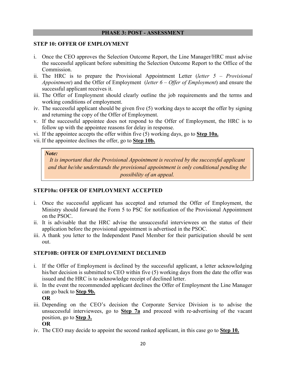#### **PHASE 3: POST - ASSESSMENT**

#### **STEP 10: OFFER OF EMPLOYMENT**

- i. Once the CEO approves the Selection Outcome Report, the Line Manager/HRC must advise the successful applicant before submitting the Selection Outcome Report to the Office of the Commission.
- ii. The HRC is to prepare the Provisional Appointment Letter (*letter 5 Provisional Appointment*) and the Offer of Employment (*letter 6 – Offer of Employment*) and ensure the successful applicant receives it.
- iii. The Offer of Employment should clearly outline the job requirements and the terms and working conditions of employment.
- iv. The successful applicant should be given five (5) working days to accept the offer by signing and returning the copy of the Offer of Employment.
- v. If the successful appointee does not respond to the Offer of Employment, the HRC is to follow up with the appointee reasons for delay in response.
- vi. If the appointee accepts the offer within five (5) working days, go to **Step 10a.**
- vii. If the appointee declines the offer, go to **Step 10b.**

#### *Note:*

*It is important that the Provisional Appointment is received by the successful applicant and that he/she understands the provisional appointment is only conditional pending the possibility of an appeal.* 

## **STEP10a: OFFER OF EMPLOYMENT ACCEPTED**

- i. Once the successful applicant has accepted and returned the Offer of Employment, the Ministry should forward the Form 5 to PSC for notification of the Provisional Appointment on the PSOC.
- ii. It is advisable that the HRC advise the unsuccessful interviewees on the status of their application before the provisional appointment is advertised in the PSOC.
- iii. A thank you letter to the Independent Panel Member for their participation should be sent out.

## **STEP10B: OFFER OF EMPLOYEMENT DECLINED**

- i. If the Offer of Employment is declined by the successful applicant, a letter acknowledging his/her decision is submitted to CEO within five (5) working days from the date the offer was issued and the HRC is to acknowledge receipt of declined letter.
- ii. In the event the recommended applicant declines the Offer of Employment the Line Manager can go back to **Step 9b. OR**
- iii. Depending on the CEO's decision the Corporate Service Division is to advise the unsuccessful interviewees, go to **Step 7a** and proceed with re-advertising of the vacant position, go to **Step 3.**
	- **OR**
- iv. The CEO may decide to appoint the second ranked applicant, in this case go to **Step 10.**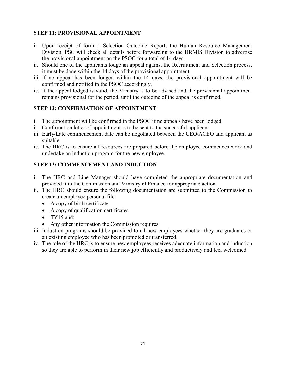## **STEP 11: PROVISIONAL APPOINTMENT**

- i. Upon receipt of form 5 Selection Outcome Report, the Human Resource Management Division, PSC will check all details before forwarding to the HRMIS Division to advertise the provisional appointment on the PSOC for a total of 14 days.
- ii. Should one of the applicants lodge an appeal against the Recruitment and Selection process, it must be done within the 14 days of the provisional appointment.
- iii. If no appeal has been lodged within the 14 days, the provisional appointment will be confirmed and notified in the PSOC accordingly.
- iv. If the appeal lodged is valid, the Ministry is to be advised and the provisional appointment remains provisional for the period, until the outcome of the appeal is confirmed.

## **STEP 12: CONFIRMATION OF APPOINTMENT**

- i. The appointment will be confirmed in the PSOC if no appeals have been lodged.
- ii. Confirmation letter of appointment is to be sent to the successful applicant
- iii. Early/Late commencement date can be negotiated between the CEO/ACEO and applicant as suitable.
- iv. The HRC is to ensure all resources are prepared before the employee commences work and undertake an induction program for the new employee.

## **STEP 13: COMMENCEMENT AND INDUCTION**

- i. The HRC and Line Manager should have completed the appropriate documentation and provided it to the Commission and Ministry of Finance for appropriate action.
- ii. The HRC should ensure the following documentation are submitted to the Commission to create an employee personal file:
	- A copy of birth certificate
	- A copy of qualification certificates
	- TY15 and:
	- Any other information the Commission requires
- iii. Induction programs should be provided to all new employees whether they are graduates or an existing employee who has been promoted or transferred.
- iv. The role of the HRC is to ensure new employees receives adequate information and induction so they are able to perform in their new job efficiently and productively and feel welcomed.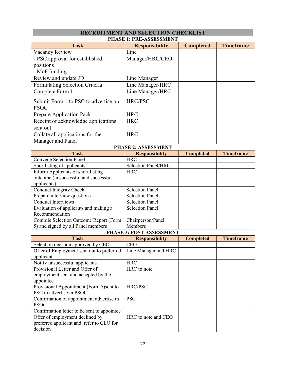|                                                         | <b>RECRUITMENT AND SELECTION CHECKLIST</b> |                  |                  |
|---------------------------------------------------------|--------------------------------------------|------------------|------------------|
|                                                         | <b>PHASE 1: PRE-ASSESSMENT</b>             |                  |                  |
| <b>Task</b>                                             | <b>Responsibility</b>                      | <b>Completed</b> | <b>Timeframe</b> |
| Vacancy Review                                          | Line                                       |                  |                  |
| - PSC approval for established                          | Manager/HRC/CEO                            |                  |                  |
| positions                                               |                                            |                  |                  |
| - MoF funding                                           |                                            |                  |                  |
| Review and update JD                                    | Line Manager                               |                  |                  |
|                                                         |                                            |                  |                  |
| Formulating Selection Criteria                          | Line Manager/HRC                           |                  |                  |
| Complete Form 1                                         | Line Manager/HRC                           |                  |                  |
| Submit Form 1 to PSC to advertise on<br><b>PSOC</b>     | HRC/PSC                                    |                  |                  |
| Prepare Application Pack                                | <b>HRC</b>                                 |                  |                  |
| Receipt of acknowledge applications                     | <b>HRC</b>                                 |                  |                  |
| sent out                                                |                                            |                  |                  |
| Collate all applications for the                        | <b>HRC</b>                                 |                  |                  |
| Manager and Panel                                       |                                            |                  |                  |
|                                                         | <b>PHASE 2: ASSESSMENT</b>                 |                  |                  |
| <b>Task</b>                                             |                                            |                  | <b>Timeframe</b> |
|                                                         | <b>Responsibility</b><br><b>HRC</b>        | <b>Completed</b> |                  |
| <b>Convene Selection Panel</b>                          |                                            |                  |                  |
| Shortlisting of applicants                              | <b>Selection Panel/HRC</b>                 |                  |                  |
| Inform Applicants of short listing                      | <b>HRC</b>                                 |                  |                  |
| outcome (unsuccessful and successful                    |                                            |                  |                  |
| applicants)                                             |                                            |                  |                  |
| <b>Conduct Integrity Check</b>                          | <b>Selection Panel</b>                     |                  |                  |
| Prepare interview questions                             | <b>Selection Panel</b>                     |                  |                  |
| <b>Conduct Interviews</b>                               | Selection Panel                            |                  |                  |
| Evaluation of applicants and making a<br>Recommendation | <b>Selection Panel</b>                     |                  |                  |
| Compile Selection Outcome Report (Form                  | Chairperson/Panel                          |                  |                  |
| 5) and signed by all Panel members                      | Members                                    |                  |                  |
|                                                         | <b>PHASE 3: POST ASSESSMENT</b>            |                  |                  |
| Task                                                    | <b>Responsibility</b>                      | <b>Completed</b> | <b>Timeframe</b> |
| Selection decision approved by CEO                      | <b>CEO</b>                                 |                  |                  |
| Offer of Employment sent out to preferred               | Line Manager and HRC                       |                  |                  |
| applicant                                               |                                            |                  |                  |
| Notify unsuccessful applicants                          | <b>HRC</b>                                 |                  |                  |
| Provisional Letter and Offer of                         | HRC to note                                |                  |                  |
| employment sent and accepted by the                     |                                            |                  |                  |
| appointee                                               |                                            |                  |                  |
| Provisional Appointment (Form 5)sent to                 | HRC/PSC                                    |                  |                  |
| PSC to advertise in PSOC                                |                                            |                  |                  |
| Confirmation of appointment advertise in                | <b>PSC</b>                                 |                  |                  |
| <b>PSOC</b>                                             |                                            |                  |                  |
| Confirmation letter to be sent to appointee             |                                            |                  |                  |
| Offer of employment declined by                         | HRC to note and CEO                        |                  |                  |
| preferred applicant and refer to CEO for                |                                            |                  |                  |
| decision                                                |                                            |                  |                  |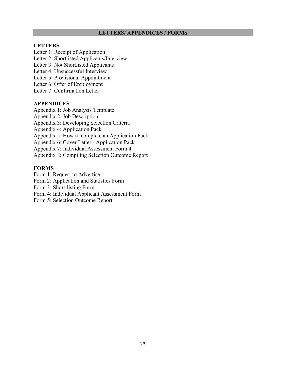#### **LETTERS/ APPENDICES / FORMS**

#### **LETTERS**

Letter 1: Receipt of Application

Letter 2: Shortlisted Applicants/Interview

Letter 3: Not Shortlisted Applicants

Letter 4: Unsuccessful Interview

Letter 5: Provisional Appointment

Letter 6: Offer of Employment

Letter 7: Confirmation Letter

#### **APPENDICES**

Appendix 1: Job Analysis Template

Appendix 2: Job Description

Appendix 3: Developing Selection Criteria

Appendix 4: Application Pack

Appendix 5: How to complete an Application Pack

Appendix 6: Cover Letter - Application Pack

Appendix 7: Individual Assessment Form 4

Appendix 8: Compiling Selection Outcome Report

#### **FORMS**

Form 1: Request to Advertise

Form 2: Application and Statistics Form

Form 3: Short-listing Form

Form 4: Individual Applicant Assessment Form

Form 5: Selection Outcome Report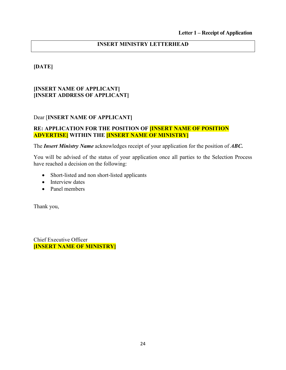## **[DATE]**

## **[INSERT NAME OF APPLICANT] [INSERT ADDRESS OF APPLICANT]**

## Dear [**INSERT NAME OF APPLICANT]**

## **RE: APPLICATION FOR THE POSITION OF [INSERT NAME OF POSITION ADVERTISE] WITHIN THE [INSERT NAME OF MINISTRY]**

The *Insert Ministry Name* acknowledges receipt of your application for the position of *ABC.*

You will be advised of the status of your application once all parties to the Selection Process have reached a decision on the following:

- Short-listed and non short-listed applicants
- Interview dates
- Panel members

Thank you,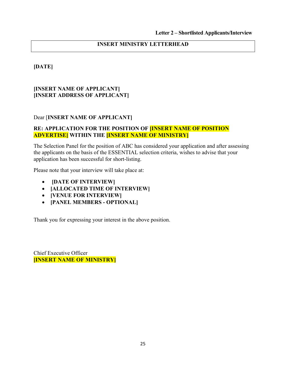## **[DATE]**

## **[INSERT NAME OF APPLICANT] [INSERT ADDRESS OF APPLICANT]**

## Dear [**INSERT NAME OF APPLICANT]**

## **RE: APPLICATION FOR THE POSITION OF [INSERT NAME OF POSITION ADVERTISE] WITHIN THE [INSERT NAME OF MINISTRY]**

The Selection Panel for the position of ABC has considered your application and after assessing the applicants on the basis of the ESSENTIAL selection criteria, wishes to advise that your application has been successful for short-listing.

Please note that your interview will take place at:

- • **[DATE OF INTERVIEW]**
- **[ALLOCATED TIME OF INTERVIEW]**
- **[VENUE FOR INTERVIEW]**
- **[PANEL MEMBERS OPTIONAL]**

Thank you for expressing your interest in the above position.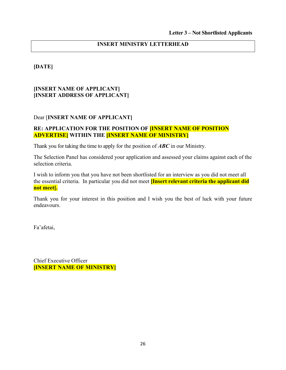## **[DATE]**

## **[INSERT NAME OF APPLICANT] [INSERT ADDRESS OF APPLICANT]**

## Dear [**INSERT NAME OF APPLICANT]**

## **RE: APPLICATION FOR THE POSITION OF [INSERT NAME OF POSITION ADVERTISE] WITHIN THE [INSERT NAME OF MINISTRY]**

Thank you for taking the time to apply for the position of *ABC* in our Ministry.

The Selection Panel has considered your application and assessed your claims against each of the selection criteria.

I wish to inform you that you have not been shortlisted for an interview as you did not meet all the essential criteria. In particular you did not meet **[Insert relevant criteria the applicant did not meet].**

Thank you for your interest in this position and I wish you the best of luck with your future endeavours.

Fa'afetai,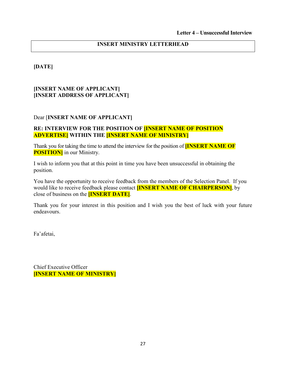## **[DATE]**

## **[INSERT NAME OF APPLICANT] [INSERT ADDRESS OF APPLICANT]**

## Dear [**INSERT NAME OF APPLICANT]**

## **RE: INTERVIEW FOR THE POSITION OF [INSERT NAME OF POSITION ADVERTISE] WITHIN THE [INSERT NAME OF MINISTRY]**

Thank you for taking the time to attend the interview for the position of **[INSERT NAME OF POSITION**] in our Ministry.

I wish to inform you that at this point in time you have been unsuccessful in obtaining the position.

You have the opportunity to receive feedback from the members of the Selection Panel. If you would like to receive feedback please contact **[INSERT NAME OF CHAIRPERSON]**, by close of business on the **[INSERT DATE]**.

Thank you for your interest in this position and I wish you the best of luck with your future endeavours.

Fa'afetai,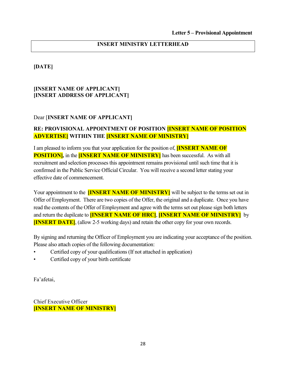## **[DATE]**

## **[INSERT NAME OF APPLICANT] [INSERT ADDRESS OF APPLICANT]**

## Dear [**INSERT NAME OF APPLICANT]**

## **RE: PROVISIONAL APPOINTMENT OF POSITION [INSERT NAME OF POSITION ADVERTISE] WITHIN THE [INSERT NAME OF MINISTRY]**

I am pleased to inform you that your application for the position of, **[INSERT NAME OF POSITION]***,* in the **[INSERT NAME OF MINISTRY]** has been successful. As with all recruitment and selection processes this appointment remains provisional until such time that it is confirmed in the Public Service Official Circular. You will receive a second letter stating your effective date of commencement.

Your appointment to the **[INSERT NAME OF MINISTRY]** will be subject to the terms set out in Offer of Employment. There are two copies of the Offer, the original and a duplicate. Once you have read the contents of the Offer of Employment and agree with the terms set out please sign both letters and return the dupilcate to **[INSERT NAME OF HRC]**, **[INSERT NAME OF MINISTRY]** by **[INSERT DATE]**, (allow 2-5 working days) and retain the other copy for your own records.

By signing and returning the Officer of Employment you are indicating your acceptance of the position. Please also attach copies of the following documentation:

- Certified copy of your qualifications (If not attached in application)
- Certified copy of your birth certificate

Fa'afetai,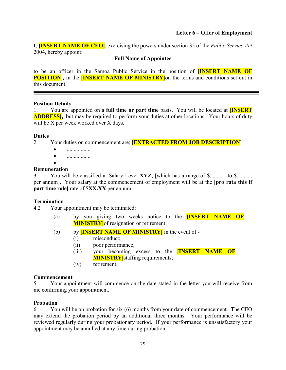#### **Letter 6 – Offer of Employment**

**I**, **[INSERT NAME OF CEO]**, exercising the powers under section 35 of the *Public Service Act*  2004, hereby appoint:

#### **Full Name of Appointee**

to be an officer in the Samoa Public Service in the position of **[INSERT NAME OF POSITION**, in the **[INSERT NAME OF MINISTRY**] on the terms and conditions set out in this document.

#### **Position Details**

1. You are appointed on a **full time or part time** basis. You will be located at **[INSERT ADDRESS**, but may be required to perform your duties at other locations. Your hours of duty will be X per week worked over X days.

#### **Duties**

- 2. Your duties on commencement are; **[EXTRACTED FROM JOB DESCRIPTION]**
	- .................
	- .................

•

## **Remuneration**

3. You will be classified at Salary Level **XYZ**, [which has a range of \$.......... to \$........... per annum]. Your salary at the commencement of employment will be at the **[pro rata this if part time role]** rate of \$**XX.XX** per annum.

#### **Termination**

4.2 Your appointment may be terminated:

- (a) by you giving two weeks notice to the **[INSERT NAME OF MINISTRY** of resignation or retirement;
- (b) by **[INSERT NAME OF MINISTRY]** in the event of
	- (i) misconduct;
	- (ii) poor performance;
	- (iii) your becoming excess to the **[INSERT NAME OF MINISTRY** staffing requirements;
	- (iv) retirement.

## **Commencement**

5. Your appointment will commence on the date stated in the letter you will receive from me confirming your appointment.

#### **Probation**

6. You will be on probation for six (6) months from your date of commencement. The CEO may extend the probation period by an additional three months. Your performance will be reviewed regularly during your probationary period. If your performance is unsatisfactory your appointment may be annulled at any time during probation.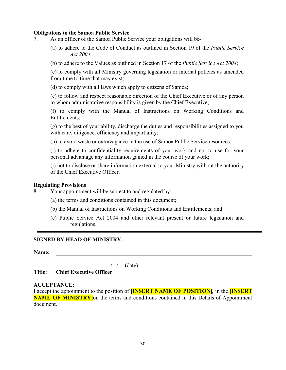#### **Obligations to the Samoa Public Service**

- 7. As an officer of the Samoa Public Service your obligations will be-
	- (a) to adhere to the Code of Conduct as outlined in Section 19 of the *Public Service Act 2004*
	- (b) to adhere to the Values as outlined in Section 17 of the *Public Service Act 2004*;

(c) to comply with all Ministry governing legislation or internal policies as amended from time to time that may exist;

(d) to comply with all laws which apply to citizens of Samoa;

(e) to follow and respect reasonable direction of the Chief Executive or of any person to whom administrative responsibility is given by the Chief Executive;

(f) to comply with the Manual of Instructions on Working Conditions and Entitlements;

(g) to the best of your ability, discharge the duties and responsibilities assigned to you with care, diligence, efficiency and impartiality;

(h) to avoid waste or extravagance in the use of Samoa Public Service resources;

(i) to adhere to confidentiality requirements of your work and not to use for your personal advantage any information gained in the course of your work;

(j) not to disclose or share information external to your Ministry without the authority of the Chief Executive Officer.

#### **Regulating Provisions**

8. Your appointment will be subject to and regulated by:

- (a) the terms and conditions contained in this document;
- (b) the Manual of Instructions on Working Conditions and Entitlements; and
- (c) Public Service Act 2004 and other relevant present or future legislation and regulations.

#### **SIGNED BY HEAD OF MINISTRY:**

**Name:**

................................. ..../.../... (date)

**Title: Chief Executive Officer**

#### **ACCEPTANCE:**

I accept the appointment to the position of **[INSERT NAME OF POSITION]***,* in the **[INSERT NAME OF MINISTRY** on the terms and conditions contained in this Details of Appointment document.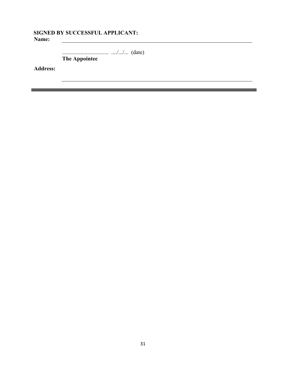#### **SIGNED BY SUCCESSFUL APPLICANT: Name:** <u> 1989 - Johann Stoff, Amerikaansk politiker (</u>

................................. ..../.../... (date)

 $\equiv$ 

**The Appointee** 

**Address:**

Ξ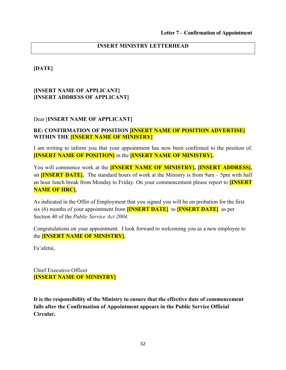**[DATE]** 

#### **[INSERT NAME OF APPLICANT] [INSERT ADDRESS OF APPLICANT]**

#### Dear [**INSERT NAME OF APPLICANT]**

## **RE: CONFIRMATION OF POSITION [INSERT NAME OF POSITION ADVERTISE] WITHIN THE [INSERT NAME OF MINISTRY]**

I am writing to inform you that your appointment has now been confirmed to the position of*,*  **[INSERT NAME OF POSITION]** in the **[INSERT NAME OF MINISTRY].**

You will commence work at the **[INSERT NAME OF MINISTRY], [INSERT ADDRESS],**  on **[INSERT DATE].** The standard hours of work at the Ministry is from 9am – 5pm with half an hour lunch break from Monday to Friday. On your commencement please report to **[INSERT NAME OF HRC].**

As indicated in the Offer of Employment that you signed you will be on probation for the first six (6) months of your appointment from **[INSERT DATE]** to **[INSERT DATE]** as per Section 40 of the *Public Service Act 2004.*

Congratulations on your appointment. I look forward to welcoming you as a new employee to the **[INSERT NAME OF MINISTRY].**

Fa'afetai,

Chief Executive Officer **[INSERT NAME OF MINISTRY]**

**It is the responsibility of the Ministry to ensure that the effective date of commencement falls after the Confirmation of Appointment appears in the Public Service Official Circular.**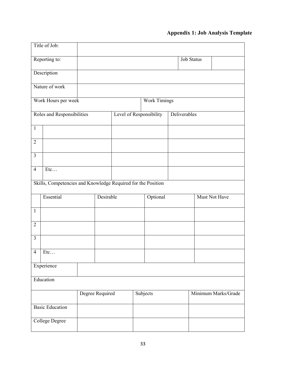# **Appendix 1: Job Analysis Template**

|                         | Title of Job:                                                |                 |                         |          |                     |              |                   |                      |
|-------------------------|--------------------------------------------------------------|-----------------|-------------------------|----------|---------------------|--------------|-------------------|----------------------|
|                         | Reporting to:                                                |                 |                         |          |                     |              | <b>Job Status</b> |                      |
|                         | Description                                                  |                 |                         |          |                     |              |                   |                      |
|                         | Nature of work                                               |                 |                         |          |                     |              |                   |                      |
|                         | Work Hours per week                                          |                 |                         |          | <b>Work Timings</b> |              |                   |                      |
|                         | Roles and Responsibilities                                   |                 | Level of Responsibility |          |                     | Deliverables |                   |                      |
| $\mathbf{1}$            |                                                              |                 |                         |          |                     |              |                   |                      |
| $\overline{2}$          |                                                              |                 |                         |          |                     |              |                   |                      |
| $\overline{\mathbf{3}}$ |                                                              |                 |                         |          |                     |              |                   |                      |
| $\overline{4}$          | Etc                                                          |                 |                         |          |                     |              |                   |                      |
|                         | Skills, Competencies and Knowledge Required for the Position |                 |                         |          |                     |              |                   |                      |
|                         | Essential                                                    | Desirable       |                         |          | Optional            |              |                   | <b>Must Not Have</b> |
| $\mathbf{1}$            |                                                              |                 |                         |          |                     |              |                   |                      |
| $\overline{2}$          |                                                              |                 |                         |          |                     |              |                   |                      |
| $\overline{\mathbf{3}}$ |                                                              |                 |                         |          |                     |              |                   |                      |
| $\overline{4}$          | $\text{Etc} \dots$                                           |                 |                         |          |                     |              |                   |                      |
|                         | Experience                                                   |                 |                         |          |                     |              |                   |                      |
|                         | Education                                                    |                 |                         |          |                     |              |                   |                      |
|                         |                                                              | Degree Required |                         | Subjects |                     |              |                   | Minimum Marks/Grade  |
|                         | <b>Basic Education</b>                                       |                 |                         |          |                     |              |                   |                      |
|                         | <b>College Degree</b>                                        |                 |                         |          |                     |              |                   |                      |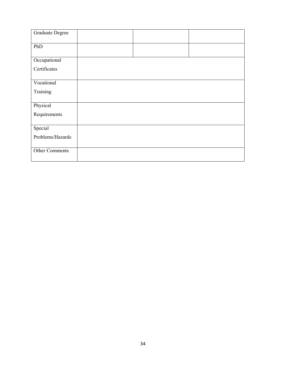| <b>Graduate Degree</b> |  |  |
|------------------------|--|--|
| PhD                    |  |  |
| Occupational           |  |  |
| Certificates           |  |  |
| Vocational             |  |  |
| Training               |  |  |
| Physical               |  |  |
| Requirements           |  |  |
| Special                |  |  |
| Problems/Hazards       |  |  |
| Other Comments         |  |  |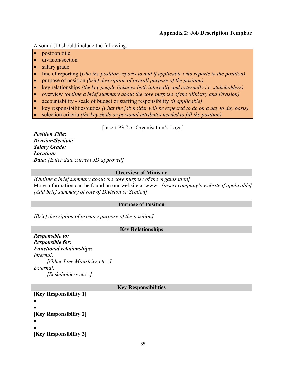#### **Appendix 2: Job Description Template**

A sound JD should include the following:

- position title
- division/section
- salary grade
- line of reporting (*who the position reports to and if applicable who reports to the position)*
- purpose of position *(brief description of overall purpose of the position)*
- key relationships *(the key people linkages both internally and externally i.e. stakeholders)*
- overview *(outline a brief summary about the core purpose of the Ministry and Division)*
- accountability scale of budget or staffing responsibility *(if applicable)*
- key responsibilities/duties *(what the job holder will be expected to do on a day to day basis)*
- selection criteria *(the key skills or personal attributes needed to fill the position)*

[Insert PSC or Organisation's Logo]

*Position Title: Division/Section: Salary Grade: Location: Date: [Enter date current JD approved]*

#### **Overview of Ministry**

*[Outline a brief summary about the core purpose of the organisation]*  More information can be found on our website at www. *[insert company's website if applicable] [Add brief summary of role of Division or Section]* 

#### **Purpose of Position**

*[Brief description of primary purpose of the position]* 

#### **Key Relationships**

*Responsible to: Responsible for: Functional relationships: Internal: [Other Line Ministries etc...] External: [Stakeholders etc...]* 

#### **Key Responsibilities**

**[Key Responsibility 1]**  • • **[Key Responsibility 2]**  • • **[Key Responsibility 3]**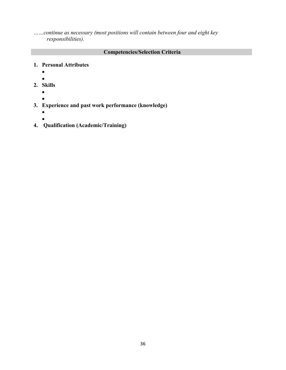*……continue as necessary (most positions will contain between four and eight key responsibilities).* 

## **Competencies/Selection Criteria**

- **1. Personal Attributes** 
	- •
	- •
- **2. Skills** 
	- •
		-
- **3. Experience and past work performance (knowledge)**
	- •
	- •
- **4. Qualification (Academic/Training)**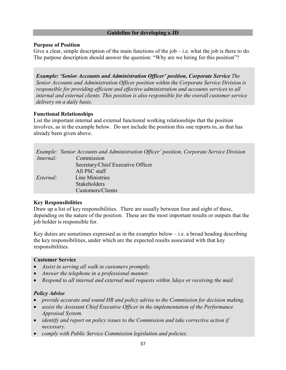#### **Guideline for developing a JD**

#### **Purpose of Position**

Give a clear, simple description of the main functions of the  $job - i.e.$  what the job is there to do. The purpose description should answer the question: "Why are we hiring for this position"?

*Example: 'Senior Accounts and Administration Officer' position, Corporate Service The Senior Accounts and Administration Officer position within the Corporate Service Division is responsible for providing efficient and effective administration and accounts services to all internal and external clients. This position is also responsible for the overall customer service delivery on a daily basis.* 

#### **Functional Relationships**

List the important internal and external functional working relationships that the position involves, as in the example below. Do not include the position this one reports to, as that has already been given above.

|           | Example: 'Senior Accounts and Administration Officer' position, Corporate Service Division |
|-----------|--------------------------------------------------------------------------------------------|
| Internal: | Commission                                                                                 |
|           | Secretary/Chief Executive Officer                                                          |
|           | All PSC staff                                                                              |
| External: | Line Ministries                                                                            |
|           | <b>Stakeholders</b>                                                                        |
|           | Customers/Clients                                                                          |

#### **Key Responsibilities**

Draw up a list of key responsibilities. There are usually between four and eight of these, depending on the nature of the position. These are the most important results or outputs that the job holder is responsible for.

Key duties are sometimes expressed as in the examples below  $-$  i.e. a broad heading describing the key responsibilities, under which are the expected results associated with that key responsibilities.

#### **Customer Service**

- *Assist in serving all walk in customers promptly.*
- *Answer the telephone in a professional manner.*
- *Respond to all internal and external mail requests within 3days or receiving the mail.*

#### *Policy Advise*

- *provide accurate and sound HR and policy advise to the Commission for decision making.*
- *assist the Assistant Chief Executive Officer in the implementation of the Performance Appraisal System.*
- *identify and report on policy issues to the Commission and take corrective action if necessary.*
- *comply with Public Service Commission legislation and policies.*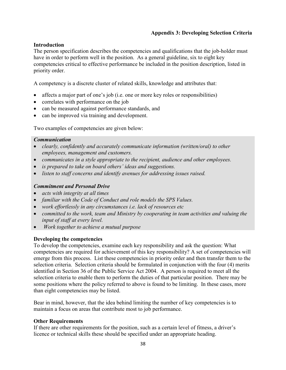## **Appendix 3: Developing Selection Criteria**

#### **Introduction**

The person specification describes the competencies and qualifications that the job-holder must have in order to perform well in the position. As a general guideline, six to eight key competencies critical to effective performance be included in the position description, listed in priority order.

A competency is a discrete cluster of related skills, knowledge and attributes that:

- affects a major part of one's job (i.e. one or more key roles or responsibilities)
- correlates with performance on the job
- can be measured against performance standards, and
- can be improved via training and development.

Two examples of competencies are given below:

#### *Communication*

- *clearly, confidently and accurately communicate information (written/oral) to other employees, management and customers.*
- *communicates in a style appropriate to the recipient, audience and other employees.*
- *is prepared to take on board others' ideas and suggestions.*
- *listen to staff concerns and identify avenues for addressing issues raised.*

#### *Commitment and Personal Drive*

- *acts with integrity at all times*
- *familiar with the Code of Conduct and role models the SPS Values.*
- *work effortlessly in any circumstances i.e. lack of resources etc*
- *committed to the work, team and Ministry by cooperating in team activities and valuing the input of staff at every level.*
- • *Work together to achieve a mutual purpose*

#### **Developing the competencies**

To develop the competencies, examine each key responsibility and ask the question: What competencies are required for achievement of this key responsibility? A set of competencies will emerge from this process. List these competencies in priority order and then transfer them to the selection criteria. Selection criteria should be formulated in conjunction with the four (4) merits identified in Section 36 of the Public Service Act 2004. A person is required to meet all the selection criteria to enable them to perform the duties of that particular position. There may be some positions where the policy referred to above is found to be limiting. In these cases, more than eight competencies may be listed.

Bear in mind, however, that the idea behind limiting the number of key competencies is to maintain a focus on areas that contribute most to job performance.

#### **Other Requirements**

If there are other requirements for the position, such as a certain level of fitness, a driver's licence or technical skills these should be specified under an appropriate heading.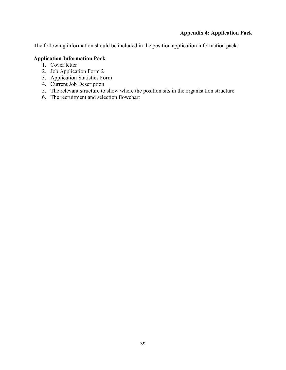## **Appendix 4: Application Pack**

The following information should be included in the position application information pack:

## **Application Information Pack**

- 1. Cover letter
- 2. Job Application Form 2
- 3. Application Statistics Form
- 4. Current Job Description
- 5. The relevant structure to show where the position sits in the organisation structure
- 6. The recruitment and selection flowchart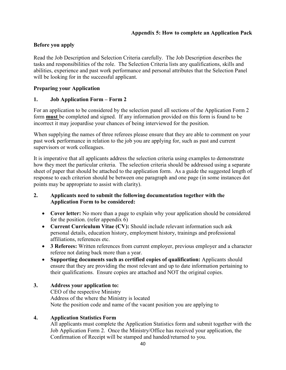## **Before you apply**

Read the Job Description and Selection Criteria carefully. The Job Description describes the tasks and responsibilities of the role. The Selection Criteria lists any qualifications, skills and abilities, experience and past work performance and personal attributes that the Selection Panel will be looking for in the successful applicant.

## **Preparing your Application**

## **1. Job Application Form – Form 2**

For an application to be considered by the selection panel all sections of the Application Form 2 form **must** be completed and signed. If any information provided on this form is found to be incorrect it may jeopardise your chances of being interviewed for the position.

When supplying the names of three referees please ensure that they are able to comment on your past work performance in relation to the job you are applying for, such as past and current supervisors or work colleagues.

It is imperative that all applicants address the selection criteria using examples to demonstrate how they meet the particular criteria. The selection criteria should be addressed using a separate sheet of paper that should be attached to the application form. As a guide the suggested length of response to each criterion should be between one paragraph and one page (in some instances dot points may be appropriate to assist with clarity).

#### **2. Applicants need to submit the following documentation together with the Application Form to be considered:**

- **Cover letter:** No more than a page to explain why your application should be considered for the position. (refer appendix 6)
- **Current Curriculum Vitae (CV):** Should include relevant information such ask personal details, education history, employment history, trainings and professional affiliations, references etc.
- **3 Referees:** Written references from current employer, previous employer and a character referee not dating back more than a year.
- **Supporting documents such as certified copies of qualification:** Applicants should ensure that they are providing the most relevant and up to date information pertaining to their qualifications. Ensure copies are attached and NOT the original copies.

## **3. Address your application to:**

 CEO of the respective Ministry Address of the where the Ministry is located Note the position code and name of the vacant position you are applying to

## **4. Application Statistics Form**

 All applicants must complete the Application Statistics form and submit together with the Job Application Form 2. Once the Ministry/Office has received your application, the Confirmation of Receipt will be stamped and handed/returned to you.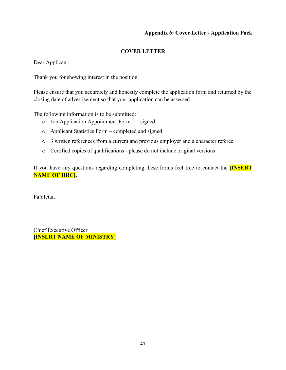## **Appendix 6: Cover Letter - Application Pack**

## **COVER LETTER**

Dear Applicant,

Thank you for showing interest in the position.

Please ensure that you accurately and honestly complete the application form and returned by the closing date of advertisement so that your application can be assessed.

The following information is to be submitted:

- $\circ$  Job Application Appointment Form 2 signed
- o Applicant Statistics Form completed and signed
- o 3 written references from a current and previous employer and a character referee
- o Certified copies of qualifications please do not include original versions

If you have any questions regarding completing these forms feel free to contact the **[INSERT NAME OF HRC].**

Fa'afetai,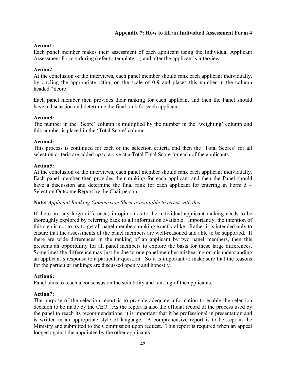## **Appendix 7: How to fill an Individual Assessment Form 4**

#### **Action1:**

Each panel member makes their assessment of each applicant using the Individual Applicant Assessment Form 4 during (refer to template…) and after the applicant's interview.

#### **Action2**

At the conclusion of the interviews, each panel member should rank each applicant individually, by circling the appropriate rating on the scale of 0-9 and places this number in the column headed "Score"

Each panel member then provides their ranking for each applicant and then the Panel should have a discussion and determine the final rank for each applicant.

#### **Action3:**

The number in the "Score' column is multiplied by the number in the 'weighting' column and this number is placed in the 'Total Score' column.

#### **Action4:**

This process is continued for each of the selection criteria and then the 'Total Scores' for all selection criteria are added up to arrive at a Total Final Score for each of the applicants.

#### **Action5:**

At the conclusion of the interviews, each panel member should rank each applicant individually. Each panel member then provides their ranking for each applicant and then the Panel should have a discussion and determine the final rank for each applicant for entering in Form 5 – Selection Outcome Report by the Chairperson.

#### **Note:** *Applicant Ranking Comparison Sheet is available to assist with this.*

If there are any large differences in opinion as to the individual applicant ranking needs to be thoroughly explored by referring back to all information available. Importantly, the intention of this step is not to try to get all panel members ranking exactly alike. Rather it is intended only to ensure that the assessments of the panel members are well-reasoned and able to be supported. If there are wide differences in the ranking of an applicant by two panel members, then this presents an opportunity for all panel members to explore the basis for these large differences. Sometimes the difference may just be due to one panel member mishearing or misunderstanding an applicant's response to a particular question. So it is important to make sure that the reasons for the particular rankings are discussed openly and honestly.

#### **Action6:**

Panel aims to reach a consensus on the suitability and ranking of the applicants.

#### **Action7:**

The purpose of the selection report is to provide adequate information to enable the selection decision to be made by the CEO. As the report is also the official record of the process used by the panel to reach its recommendations, it is important that it be professional in presentation and is written in an appropriate style of language. A comprehensive report is to be kept in the Ministry and submitted to the Commission upon request. This report is required when an appeal lodged against the appointee by the other applicants.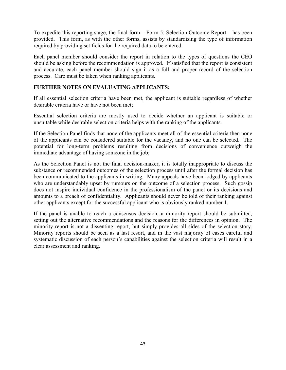To expedite this reporting stage, the final form – Form 5: Selection Outcome Report – has been provided. This form, as with the other forms, assists by standardising the type of information required by providing set fields for the required data to be entered.

Each panel member should consider the report in relation to the types of questions the CEO should be asking before the recommendation is approved. If satisfied that the report is consistent and accurate, each panel member should sign it as a full and proper record of the selection process. Care must be taken when ranking applicants.

## **FURTHER NOTES ON EVALUATING APPLICANTS:**

If all essential selection criteria have been met, the applicant is suitable regardless of whether desirable criteria have or have not been met;

Essential selection criteria are mostly used to decide whether an applicant is suitable or unsuitable while desirable selection criteria helps with the ranking of the applicants.

If the Selection Panel finds that none of the applicants meet all of the essential criteria then none of the applicants can be considered suitable for the vacancy, and no one can be selected. The potential for long-term problems resulting from decisions of convenience outweigh the immediate advantage of having someone in the job;

As the Selection Panel is not the final decision-maker, it is totally inappropriate to discuss the substance or recommended outcomes of the selection process until after the formal decision has been communicated to the applicants in writing. Many appeals have been lodged by applicants who are understandably upset by rumours on the outcome of a selection process. Such gossip does not inspire individual confidence in the professionalism of the panel or its decisions and amounts to a breach of confidentiality. Applicants should never be told of their ranking against other applicants except for the successful applicant who is obviously ranked number 1.

If the panel is unable to reach a consensus decision, a minority report should be submitted, setting out the alternative recommendations and the reasons for the differences in opinion. The minority report is not a dissenting report, but simply provides all sides of the selection story. Minority reports should be seen as a last resort, and in the vast majority of cases careful and systematic discussion of each person's capabilities against the selection criteria will result in a clear assessment and ranking.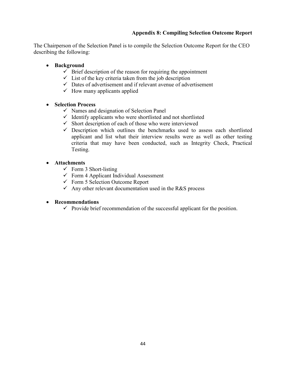## **Appendix 8: Compiling Selection Outcome Report**

The Chairperson of the Selection Panel is to compile the Selection Outcome Report for the CEO describing the following:

- **Background** 
	- $\checkmark$  Brief description of the reason for requiring the appointment
	- $\checkmark$  List of the key criteria taken from the job description
	- Dates of advertisement and if relevant avenue of advertisement
	- $\checkmark$  How many applicants applied

## • **Selection Process**

- Names and designation of Selection Panel
- Identify applicants who were shortlisted and not shortlisted
- Short description of each of those who were interviewed
- $\checkmark$  Description which outlines the benchmarks used to assess each shortlisted applicant and list what their interview results were as well as other testing criteria that may have been conducted, such as Integrity Check, Practical Testing.

## • **Attachments**

- Form 3 Short-listing
- Form 4 Applicant Individual Assessment
- Form 5 Selection Outcome Report
- $\checkmark$  Any other relevant documentation used in the R&S process

## • **Recommendations**

- Provide brief recommendation of the successful applicant for the position.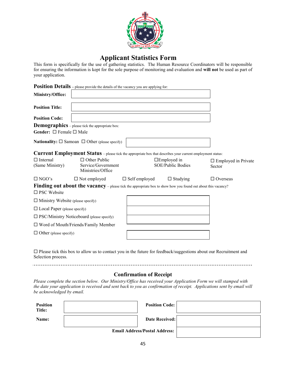

## **Applicant Applicant Statistics Form**

This form is specifically for the use of gathering statistics. The Human Resource Coordinators will be responsible for ensuring the information is kept for the sole purpo purpose of monitoring and evaluation and **will not not** be used as part of your application.

|                                                                       | <b>Position Details</b> – please provide the details of the vacancy you are applying for:                     |                      |                                            |                                                                                                                         |
|-----------------------------------------------------------------------|---------------------------------------------------------------------------------------------------------------|----------------------|--------------------------------------------|-------------------------------------------------------------------------------------------------------------------------|
| Ministry/Office:                                                      |                                                                                                               |                      |                                            |                                                                                                                         |
| <b>Position Title:</b>                                                |                                                                                                               |                      |                                            |                                                                                                                         |
| <b>Position Code:</b>                                                 |                                                                                                               |                      |                                            |                                                                                                                         |
|                                                                       | <b>Demographics</b> – please tick the appropriate box:                                                        |                      |                                            |                                                                                                                         |
| Gender: $\square$ Female $\square$ Male                               |                                                                                                               |                      |                                            |                                                                                                                         |
| <b>Nationality:</b> $\square$ Samoan $\square$ Other (please specify) |                                                                                                               |                      |                                            |                                                                                                                         |
|                                                                       | Current Employment Status - please tick the appropriate box that describes your current employment status:    |                      |                                            |                                                                                                                         |
| $\Box$ Internal<br>(Same Ministry)                                    | $\Box$ Other Public<br>Service/Government<br>Ministries/Office                                                |                      | $\square$ Employed in<br>SOE/Public Bodies | $\Box$ Employed in Private<br>Sector                                                                                    |
| $\Box$ NGO's                                                          | $\Box$ Not employed                                                                                           | $\Box$ Self employed | $\Box$ Studying                            | $\Box$ Overseas                                                                                                         |
| $\square$ PSC Website                                                 | Finding out about the vacancy – please tick the appropriate box to show how you found out about this vacancy? |                      |                                            |                                                                                                                         |
| $\Box$ Ministry Website (please specify)                              |                                                                                                               |                      |                                            |                                                                                                                         |
| $\Box$ Local Paper (please specify)                                   |                                                                                                               |                      |                                            |                                                                                                                         |
|                                                                       | $\square$ PSC/Ministry Noticeboard (please specify)                                                           |                      |                                            |                                                                                                                         |
|                                                                       | $\Box$ Word of Mouth/Friends/Family Member                                                                    |                      |                                            |                                                                                                                         |
| $\Box$ Other (please specify)                                         |                                                                                                               |                      |                                            |                                                                                                                         |
|                                                                       |                                                                                                               |                      |                                            | $\Box$ Please tick this box to allow us to contact you in the future for feedback/suggestions about our Recruitment and |

Selection process.

#### 

#### **Confirmation of Receipt**

*Please complete the section below. Our Ministry/Office has received your Application Form we will stamped with*  Please complete the section below. Our Ministry/Office has received your Application Form we will stamped with<br>the date your application is received and sent back to you as confirmation of receipt. Applications sent by ema *be acknowledged by email.* 

| <b>Position</b><br>Title: | <b>Position Code:</b>                |  |
|---------------------------|--------------------------------------|--|
| Name:                     | <b>Date Received:</b>                |  |
|                           | <b>Email Address/Postal Address:</b> |  |